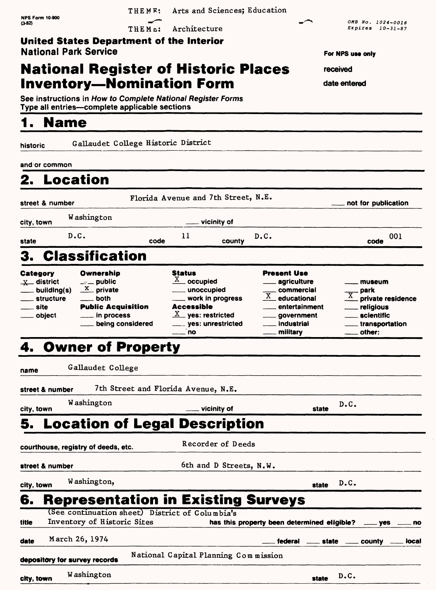| <b>NPS Form 10-900</b>                                                           | THEME:                                          | Arts and Sciences; Education              |                                             |                                            |
|----------------------------------------------------------------------------------|-------------------------------------------------|-------------------------------------------|---------------------------------------------|--------------------------------------------|
| (3-82)                                                                           | THEME:                                          | Architecture                              |                                             | OMB No. 1024-0018<br>Expires 10-31-87      |
| United States Department of the Interior                                         |                                                 |                                           |                                             |                                            |
| <b>National Park Service</b>                                                     |                                                 |                                           |                                             | For NPS use only                           |
| <b>National Register of Historic Places</b>                                      |                                                 |                                           |                                             | received                                   |
| <b>Inventory—Nomination Form</b>                                                 |                                                 |                                           |                                             | date entered                               |
| See instructions in How to Complete National Register Forms                      |                                                 |                                           |                                             |                                            |
| Type all entries--complete applicable sections                                   |                                                 |                                           |                                             |                                            |
| <b>Name</b>                                                                      |                                                 |                                           |                                             |                                            |
| historic                                                                         | Gallaudet College Historic District             |                                           |                                             |                                            |
| and⊴or common                                                                    |                                                 |                                           |                                             |                                            |
| Location                                                                         |                                                 |                                           |                                             |                                            |
|                                                                                  |                                                 |                                           |                                             |                                            |
| street & number                                                                  |                                                 | Florida Avenue and 7th Street, N.E.       |                                             | not for publication                        |
| Washington<br>city, town                                                         |                                                 | vicinity of                               |                                             |                                            |
| D.C.<br>state                                                                    | code                                            | 11<br>county                              | D.C.                                        | 001<br>code                                |
| <b>Classification</b><br>3.                                                      |                                                 |                                           |                                             |                                            |
| Ownership<br>Category                                                            |                                                 | <b>Status</b>                             | Present Use                                 |                                            |
| $\mathbf{x}$ district<br>$\equiv$ public<br>$\frac{X}{X}$ private<br>building(s) |                                                 | $\frac{X}{X}$ occupied<br>unoccupied      | agriculture<br>commercial                   | museum<br>park                             |
| structure<br>both                                                                |                                                 | work in progress                          | $\overline{X}$ educational                  | $\overline{\text{X}}$<br>private residence |
| site<br>object                                                                   | <b>Public Acquisition</b><br>in process_        | <b>Accessible</b><br>$X$ yes: restricted  | entertainment<br>_____ government           | religious<br>scientific                    |
|                                                                                  | being considered                                | yes: unrestricted<br><b>no</b>            | industrial<br>military                      | transportation<br>other:                   |
| 4                                                                                | <b>Owner of Property</b>                        |                                           |                                             |                                            |
|                                                                                  |                                                 |                                           |                                             |                                            |
| Gallaudet College<br>name                                                        |                                                 |                                           |                                             |                                            |
| street & number                                                                  | 7th Street and Florida Avenue, N.E.             |                                           |                                             |                                            |
| Washington<br>city, town                                                         |                                                 | vicinity of                               | state                                       | D.C.                                       |
|                                                                                  |                                                 | <b>Location of Legal Description</b>      |                                             |                                            |
| courthouse, registry of deeds, etc.                                              |                                                 | Recorder of Deeds                         |                                             |                                            |
| street & number                                                                  |                                                 | 6th and D Streets, N.W.                   |                                             |                                            |
| Washington,<br>city, town                                                        |                                                 |                                           | state                                       | D.C.                                       |
| 6.                                                                               |                                                 | <b>Representation in Existing Surveys</b> |                                             |                                            |
|                                                                                  | (See continuation sheet) District of Columbia's |                                           |                                             |                                            |
| Inventory of Historic Sites<br>title                                             |                                                 |                                           | has this property been determined eligible? | ves<br>no                                  |
| March 26, 1974<br>date                                                           |                                                 |                                           | federal<br><u>__</u> state                  | county<br>local                            |
| depository for survey records                                                    |                                                 | National Capital Planning Commission      |                                             |                                            |
| Washington<br>city, town                                                         |                                                 |                                           | state                                       | D.C.                                       |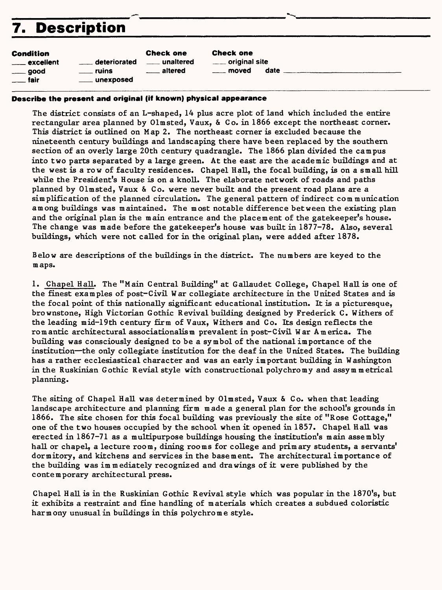# **7. Description**

| Condition            |                    | <b>Check one</b> |
|----------------------|--------------------|------------------|
| <u>___</u> excellent | deteriorated       | unaltered        |
| ____ good            | <u>_____</u> ruins | <u>altered</u>   |
| <u>____</u> fair     | ____ unexposed     |                  |
|                      |                    |                  |

Check one <u>.</u> original site moved date

#### **Describe the present and original (if known) physical appearance**

The district consists of an L-shaped, 14 plus acre plot of land which included the entire rectangular area planned by Olmsted, Vaux, & Co. in 1866 except the northeast corner. This district is outlined on Map 2. The northeast corner is excluded because the nineteenth century buildings and landscaping there have been replaced by the southern section of an overly large 20th century quadrangle. The 1866 plan divided the campus into two parts separated by a large green. At the east are the academic buildings and at the west is a row of faculty residences. Chapel Hall, the focal building, is on a small hill while the President's House is on a knoll. The elaborate network of roads and paths planned by Olmsted, Vaux & Co. were never built and the present road plans are a simplification of the planned circulation. The general pattern of indirect com munication among buildings was maintained. The most notable difference between the existing plan and the original plan is the main entrance and the placement of the gatekeeper's house. The change was made before the gatekeeper's house was built in 1877-78. Also, several buildings, which were not called for in the original plan, were added after 1878.

Below are descriptions of the buildings in the district. The numbers are keyed to the maps.

1. Chapel Hall. The "Main Central Building" at Gallaudet College, Chapel Hall is one of the finest examples of post-Civil War collegiate architecture in the United States and is the focal point of this nationally significant educational institution. It is a picturesque, brownstone, High Victorian Gothic Revival building designed by Frederick C. Withers of the leading mid-19th century firm of Vaux, Withers and Co. Its design reflects the romantic architectural associationalism prevalent in post-Civil War America. The building was consciously designed to be a symbol of the national importance of the institution—the only collegiate institution for the deaf in the United States. The building has a rather ecclesiastical character and was an early important building in Washington in the Ruskinian Gothic Revial style with constructional polychromy and assym metrical planning.

The siting of Chapel Hall was determined by Olmsted, Vaux & Co. when that leading landscape architecture and planning firm made a general plan for the school's grounds in 1866. The site chosen for this focal building was previously the site of "Rose Cottage," one of the two houses occupied by the school when it opened in 1857. Chapel Hall was erected in 1867-71 as a multipurpose buildings housing the institution's main assembly hall or chapel, a lecture room, dining rooms for college and primary students, a servants' dormitory, and kitchens and services in the basement. The architectural importance of the building was immediately recognized and drawings of it were published by the contemporary architectural press.

Chapel Hall is in the Ruskinian Gothic Revival style which was popular in the 1870's, but it exhibits a restraint and fine handling of materials which creates a subdued coloristic harmony unusual in buildings in this polychrome style.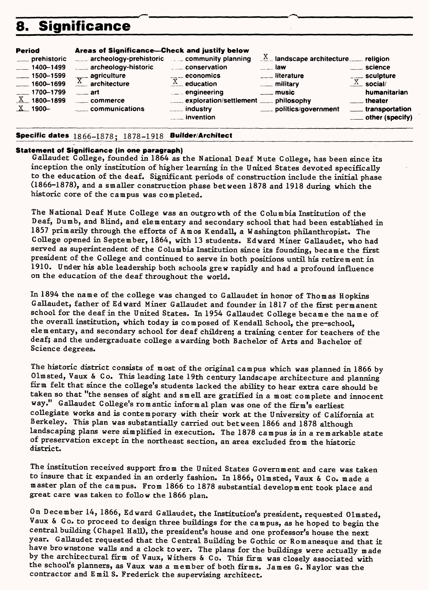# **8. Significance**

| <b>Period</b>   | Areas of Significance—Check and justify below     |                                        |                                                |                      |
|-----------------|---------------------------------------------------|----------------------------------------|------------------------------------------------|----------------------|
| ___ prehistoric | archeology-prehistoric example community planning |                                        | $\underline{X}$ landscape architecture. Figson |                      |
| $-1400 - 1499$  | archeology-historic                               | conservation                           | <b>Example 1aw</b>                             | <u>__</u> __ science |
| $-1500 - 1599$  | $\frac{1}{\sqrt{2}}$ agriculture                  | $\overline{\phantom{a} a}$ economics   | <b>Electric Literature</b>                     | ____ sculpture       |
| $-1600 - 1699$  | A,<br>architecture                                | $X$ education                          | <u>__</u> _ military                           | $X$ social/          |
| $-1700 - 1799$  | $\sim$ art                                        | $\mathbb{L}$ engineering               | $\equiv$ music                                 | humanitarian         |
| $X$ 1800-1899   | .commerce                                         | exploration/settlement ____ philosophy |                                                | <u>__</u> __theater  |
| $X$ 1900-       | communications                                    |                                        | politics/government                            | ___ transportation   |
|                 |                                                   | <u>__</u> __ invention                 |                                                | ___ other (specify)  |

#### **Specific dates 1866-1878; 1878-1918 Builder/Architect**

#### **Statement of Significance (in one paragraph)**

Gallaudet College, founded in 1864 *as* the National Deaf Mute College, has been since its inception the only institution of higher learning in the United States devoted specifically to the education of the deaf. Significant periods of construction include the initial phase (1866-1878), and a smaller construction phase between 1878 and 1918 during which the historic core of the campus was completed.

The National Deaf Mute College was an outgrowth of the Columbia Institution of the Deaf, Dumb, and Blind, and elementary and secondary school that had been established in 1857 primarily through the efforts of Amos Kendall, a Washington philanthropist. The College opened in September, 1864, with 13 students. Edward Miner Gallaudet, who had served as superintendent of the Columbia Institution since its founding, became the first president of the College and continued to serve in both positions until his retirement in 1910. Under his able leadership both schools grew rapidly and had a profound influence on the education of the deaf throughout the world.

In 1894 the name of the college was changed to Gallaudet in honor of Thomas Hopkins Gallaudet, father of Edward Miner Gallaudet and founder in 1817 of the first permanent school for the deaf in the United States. In 1954 Gallaudet College became the name of the overall institution, which today is composed of Kendall School, the pre-school, elementary, and secondary school for deaf children; a training center for teachers of the deaf; and the undergraduate college awarding both Bachelor of Arts and Bachelor of Science degrees.

The historic district consists of most of the original campus which was planned in 1866 by Olmsted, Vaux & Co. This leading late 19th century landscape architecture and planning firm felt that since the college's students lacked the ability to hear extra care should be taken so that "the senses of sight and smell are gratified in a most complete and innocent way." Gallaudet College's romantic informal plan was one of the firm's earliest collegiate works and is contemporary with their work at the University of California at Berkeley. This plan was substantially carried out between 1866 and 1878 although landscaping plans were simplified in execution. The 1878 campus is in a remarkable state of preservation except in the northeast section, an area excluded from the historic district.

The institution received support from the United States Government and care was taken to insure that it expanded in an orderly fashion. In 1866, Olmsted, Vaux & Co. made a master plan of the campus. From 1866 to 1878 substantial development took place and great care was taken to follow the 1866 plan.

On December 14, 1866, Edward Gallaudet, the Institution's president, requested Olmsted, Vaux & Co. to proceed to design three buildings for the campus, as he hoped to begin the central building (Chapel Hall), the president's house and one professor's house the next year. Gallaudet requested that the Central Building be Gothic or Romanesque and that it have brownstone walls and a clock tower. The plans for the buildings were actually made by the architectural firm of Vaux, Withers & Co. This firm was closely associated with the school's planners, as Vaux was a member of both firms. James G. Naylor was the contractor and Emil S. Frederick the supervising architect.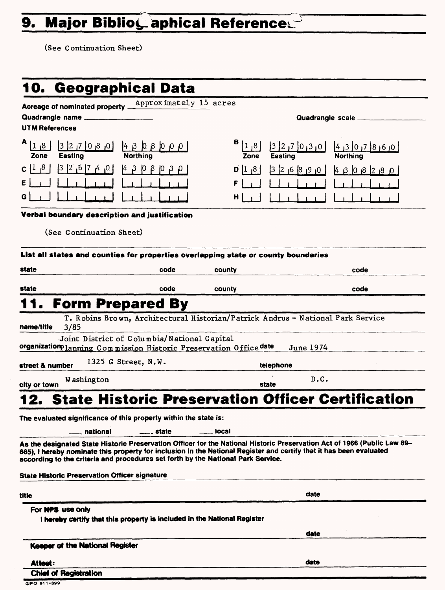# 9. Major Biblio<sub>s</sub> aphical References

(See Continuation Sheet)

|                          |                                                      | 10.  Geographical Data                                                                                                                                                                                  |                  |                          |                                    |
|--------------------------|------------------------------------------------------|---------------------------------------------------------------------------------------------------------------------------------------------------------------------------------------------------------|------------------|--------------------------|------------------------------------|
|                          | Acreage of nominated property _                      | approximately 15 acres                                                                                                                                                                                  |                  |                          |                                    |
|                          | Quadrangle name                                      |                                                                                                                                                                                                         |                  |                          | Quadrangle scale ____              |
| <b>UTM References</b>    |                                                      |                                                                                                                                                                                                         |                  |                          |                                    |
| 1 <sub>1</sub> 8<br>Zone | $ 0, 8, 0 $ 7, 2 $ 0, 8 $<br><b>Easting</b>          | $ 4 \beta \beta \beta \beta  0 \beta \beta  $<br><b>Northing</b>                                                                                                                                        | $ 1 $ ,8<br>Zone | $3270$ $0130$<br>Easting | ٥ <sub>١</sub> 6 ز 8  7 ز ٥  3 ز 4 |
| $c ^{1}$ $^{8}$          | 0 <sub> </sub> 4 <sub> </sub> 7 6 <sub> </sub> 2 5   | 14 B 10<br>8                                                                                                                                                                                            | $ 8 $ 1 $ 8 $    | 326890                   | 430829                             |
|                          |                                                      |                                                                                                                                                                                                         |                  |                          |                                    |
| G.                       |                                                      |                                                                                                                                                                                                         | н                |                          |                                    |
|                          |                                                      | Verbal boundary description and justification                                                                                                                                                           |                  |                          |                                    |
|                          | (See Continuation Sheet)                             |                                                                                                                                                                                                         |                  |                          |                                    |
|                          |                                                      |                                                                                                                                                                                                         |                  |                          |                                    |
|                          |                                                      | List all states and counties for properties overlapping state or county boundaries                                                                                                                      |                  |                          |                                    |
| state                    |                                                      | code                                                                                                                                                                                                    | county           |                          | code                               |
| state                    |                                                      | code                                                                                                                                                                                                    | county           |                          | code                               |
|                          |                                                      | <b>Form Prepared By</b>                                                                                                                                                                                 |                  |                          |                                    |
|                          |                                                      | T. Robins Brown, Architectural Historian/Patrick Andrus - National Park Service                                                                                                                         |                  |                          |                                    |
| name/title               | 3/85                                                 |                                                                                                                                                                                                         |                  |                          |                                    |
|                          |                                                      | Joint District of Columbia/National Capital<br>organizationplanning Commission Historic Preservation Office date                                                                                        |                  | June 1974                |                                    |
|                          |                                                      | 1325 G Street, N.W.                                                                                                                                                                                     |                  |                          |                                    |
| street & number          |                                                      |                                                                                                                                                                                                         |                  | telephone<br>D.C.        |                                    |
| city or town             | Washington                                           |                                                                                                                                                                                                         |                  | state                    |                                    |
|                          |                                                      | <b>State Historic Preservation Officer Certification</b>                                                                                                                                                |                  |                          |                                    |
|                          |                                                      | The evaluated significance of this property within the state is:                                                                                                                                        |                  |                          |                                    |
|                          | national                                             | <u>___</u> __ state                                                                                                                                                                                     | local            |                          |                                    |
|                          |                                                      | As the designated State Historic Preservation Officer for the National Historic Preservation Act of 1966 (Public Law 89-                                                                                |                  |                          |                                    |
|                          |                                                      | 665), I hereby nominate this property for inclusion in the National Register and certify that it has been evaluated<br>according to the criteria and procedures set forth by the National Park Service. |                  |                          |                                    |
|                          | <b>State Historic Preservation Officer signature</b> |                                                                                                                                                                                                         |                  |                          |                                    |
|                          |                                                      |                                                                                                                                                                                                         |                  |                          |                                    |
| title                    |                                                      |                                                                                                                                                                                                         |                  | date                     |                                    |
|                          | For NPS use only                                     | I hereby certify that this property is included in the National Register                                                                                                                                |                  |                          |                                    |
|                          |                                                      |                                                                                                                                                                                                         |                  | date                     |                                    |
|                          | Keeper of the National Register                      |                                                                                                                                                                                                         |                  |                          |                                    |
|                          |                                                      |                                                                                                                                                                                                         |                  |                          |                                    |
| Attest:                  | <b>Chief of Registration</b>                         |                                                                                                                                                                                                         |                  | date                     |                                    |
| GPO 911-399              |                                                      |                                                                                                                                                                                                         |                  |                          |                                    |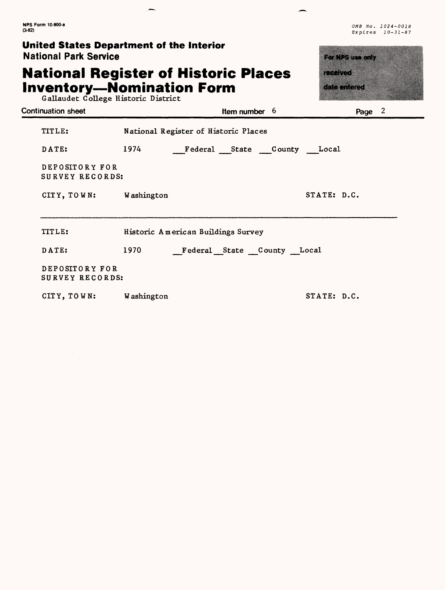#### **United States Department of the Interior Nation**

# **National Register of Historic Places**  Inventory

 $\overline{a}$ 

OMB No. 1024-0018 Expires 10-31-87

-

| <b>National Park Service</b>                                                                                           | rtin rettetti            |                                      |             |
|------------------------------------------------------------------------------------------------------------------------|--------------------------|--------------------------------------|-------------|
| <b>National Register of Historic Places</b><br><b>Inventory-Nomination Form</b><br>Gallaudet College Historic District | in an an a<br>an an an A |                                      |             |
| Continuation sheet                                                                                                     |                          | Item number $6$                      | Page 2      |
| TITLE:                                                                                                                 |                          | National Register of Historic Places |             |
| DATE:                                                                                                                  | 1974                     | Federal State County Local           |             |
| DEPOSITORY FOR<br>SURVEY RECORDS:                                                                                      |                          |                                      |             |
| CITY, TOWN: Washington                                                                                                 |                          |                                      | STATE: D.C. |
| TITLE:                                                                                                                 |                          | Historic American Buildings Survey   |             |
| DATE:                                                                                                                  | 1970                     | Federal State County Local           |             |
| DEPOSITORY FOR<br>SURVEY RECORDS:                                                                                      |                          |                                      |             |
| CITY, TOWN: Washington                                                                                                 |                          |                                      | STATE: D.C. |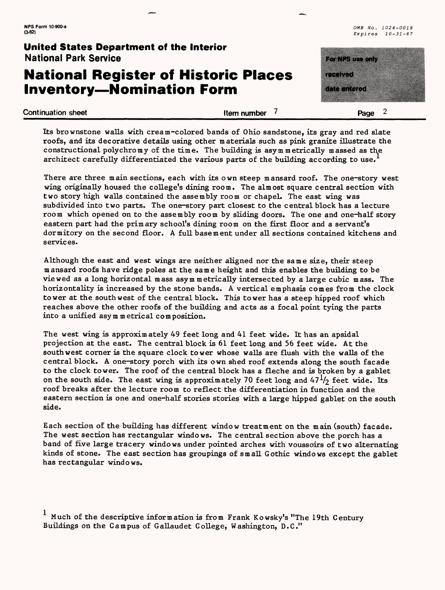# **National Register of Historic Places Inventory—Nomination Form**

**NPS Form 10-900-a**  $OMB$  No.  $1024-0018$   $OMB$  No.  $1024-0018$   $OMB$  No.  $1024-0018$ Expires 10-31-87

> <u> 2007 - Johann Barnett, fransk forsk</u> a a shekara

| Continuation sheet | Item number | Page<br>- |
|--------------------|-------------|-----------|
|                    |             |           |

Its brownstone walls with cream-colored bands of Ohio sandstone, its gray and red slate roofs, and its decorative details using other materials such as pink granite illustrate the constructional polychromy of the time. The building is asymmetrically massed as the architect carefully differentiated the various parts of the building according to use.

There are three main sections, each with its own steep mansard roof. The one-story west wing originally housed the college's dining room. The almost square central section with two story high walls contained the assembly room or chapel. The east wing was subdivided into two parts. The one-story part closest to the central block has a lecture room which opened on to the assembly room by sliding doors. The one and one-half story eastern part had the primary school's dining room on the first floor and a servant's dormitory on the second floor. A full basement under all sections contained kitchens and services.

Although the east and west wings are neither aligned nor the same size, their steep mansard roofs have ridge poles at the same height and this enables the building to be viewed as a long horizontal mass asymmetrically intersected by a large cubic mass. The horizontality is increased by the stone bands. A vertical emphasis comes from the clock tower at the southwest of the central block. This tower has a steep hipped roof which reaches above the other roofs of the building and acts as a focal point tying the parts into a unified asymmetrical composition.

The west wing is approximately 49 feet long and 41 feet wide. It has an apsidal projection at the east. The central block is 61 feet long and 56 feet wide. At the southwest corner is the square clock tower whose walls are flush with the walls of the central block. A one-story porch with its own shed roof extends along the south facade to the clock tower. The roof of the central block has a fleche and is broken by a gablet on the south side. The east wing is approximately 70 feet long and  $47<sup>1</sup>/2$  feet wide. Its roof breaks after the lecture room to reflect the differentiation in function and the eastern section is one and one-half stories stories with a large hipped gablet on the south side.

Each section of the building has different window treatment on the main (south) facade. The west section has rectangular windows. The central section above the porch has a band of five large tracery windows under pointed arches with voussoirs of two alternating kinds of stone. The east section has groupings of small Gothic windows except the gablet has rectangular windows.

 $\frac{1}{1}$  Much of the descriptive information is from Frank Kowsky's "The 19th Century Buildings on the Campus of Gallaudet College, Washington, D.C."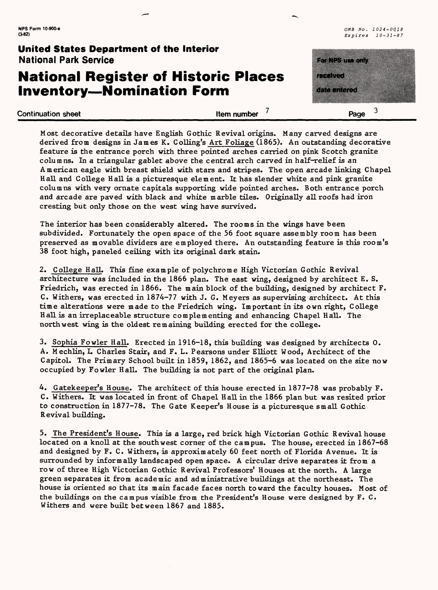## **National Register of Historic Places Inventory—Nomination Form**

**(3-82)** Expires 10-31-87

| United States Department of the Interior<br><b>National Park Service</b>        |             | <u> Estados de Estados de Esta</u> |
|---------------------------------------------------------------------------------|-------------|------------------------------------|
| <b>National Register of Historic Places</b><br><b>Inventory-Nomination Form</b> |             | -----<br><u>kommune</u>            |
| <b>Continuation sheet</b>                                                       | Item number | Page                               |

Most decorative details have English Gothic Revival origins. Many carved designs are derived from designs in James K. Colling's Art Foliage (1865). An outstanding decorative feature is the entrance porch with three pointed arches carried on pink Scotch granite columns. In a triangular gablet above the central arch carved in half-relief is an American eagle with breast shield with stars and stripes. The open arcade linking Chapel Hall and College Hall is a picturesque element. It has slender white and pink granite columns with very ornate capitals supporting wide pointed arches. Both entrance porch and arcade are paved with black and white marble tiles. Originally all roofs had iron cresting but only those on the west wing have survived.

The interior has been considerably altered. The rooms in the wings have been subdivided. Fortunately the open space of the 56 foot square assembly room has been preserved as movable dividers are employed there. An outstanding feature is this room's 38 foot high, paneled ceiling with its original dark stain.

2. College HalL This fine example of polychrome High Victorian Gothic Revival architecture was included in the 1866 plan. The east wing, designed by architect E. S. Friedrich, was erected in 1866. The main block of the building, designed by architect F. C. Withers, was erected in 1874-77 with J. G. Meyers as supervising architect. At this time alterations were made to the Friedrich wing. Important in its own right, College Hall is an irreplaceable structure complementing and enhancing Chapel Hall. The northwest wing is the oldest remaining building erected for the college.

3. Sophia Fowler Hall. Erected in 1916-18, this building was designed by architects 0. A. Mechlin, L Charles Stair, and F. L. Pearsons under EUiott Wood, Architect of the Capitol. The Primary School built in 1859, 1862, and 1865-6 was located on the site now occupied by Fowler HalL The building is not part of the original plan.

4. Gatekeeper's House. The architect of this house erected in 1877-78 was probably F. C. Withers. It was located in front of Chapel Hall in the 1866 plan but was resited prior to construction in 1877-78. The Gate Keeper's House is a picturesque small Gothic R evival building.

5. The President's House. This is a large, red brick high Victorian Gothic Revival house located on a knoll at the southwest corner of the campus. The house, erected in 1867-68 and designed by F. C. Withers, is approximately 60 feet north of Florida Avenue. It is surrounded by informally landscaped open space. A circular drive separates it from a row of three High Victorian Gothic Revival Professors' Houses at the north. A large green separates it from academic and administrative buildings at the northeast. The house is oriented so that its main facade faces north toward the faculty houses. Most of the buildings on the campus visible from the President's House were designed by F. C. Withers and were built between 1867 and 1885.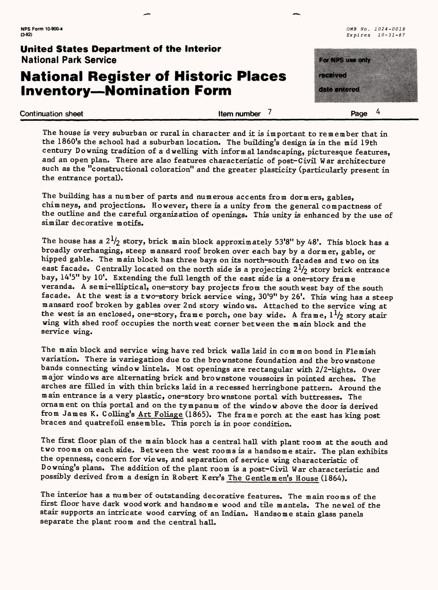# **National Register of Historic Places Inventory—Nomination Form**

**NPS Form 10-900-a** *OMB No. 1024-0018*  **(3-82)** Expires *10-31-87*

# zworth a menten a kacamatan ing Kabupatèn Kabupatèn Jawa

**Continuation sheet** Page 4

The house *is* very suburban or rural in character and it is important to remember that in the 1860's the school had a suburban location. The building's design is in the mid 19th century Downing tradition of a dwelling with informal landscaping, picturesque features, and an open plan. There are also features characteristic of post-Civil War architecture such as the "constructional coloration" and the greater plasticity (particularly present in the entrance portal).

The building has a number of parts and numerous accents from dormers, gables, chimneys, and projections. However, there is a unity from the general compactness of the outline and the careful organization of openings. This unity is enhanced by the use of similar decorative motifs.

The house has a  $2^{1/2}$  story, brick main block approximately 53'8" by 48'. This block has a broadly overhanging, steep mansard roof broken over each bay by a dormer, gable, or hipped gable. The main block has three bays on its north-south facades and two on its east facade. Centrally located on the north side is a projecting  $2^{1}/2$  story brick entrance bay, 14'5" by 10'. Extending the full length of the east side is a one-story frame veranda. A semi-elliptical, one-story bay projects from the southwest bay of the south facade. At the west is a two-story brick service wing, 30'9" by 26'. This wing has a steep mansard roof broken by gables over 2nd story windows. Attached to the service wing at the west is an enclosed, one-story, frame porch, one bay wide. A frame,  $1^{1}/2$  story stair wing with shed roof occupies the northwest corner between the main block and the service wing.

The main block and service wing have red brick walls laid in common bond in Flemish variation. There is variegation due to the brownstone foundation and the brownstone bands connecting window lintels. Most openings are rectangular with 2/2-lights. Over major windows are alternating brick and brownstone voussoirs in pointed arches. The arches are filled in with thin bricks laid in a recessed herringbone pattern. Around the main entrance is a very plastic, one-story brownstone portal with buttresses. The ornament on this portal and on the tympanum of the window above the door is derived from James K. Colling's Art Foliage (1865). The frame porch at the east has king post braces and quatrefoil ensemble. This porch is in poor condition.

The first floor plan of the main block has a central hall with plant room at the south and two rooms on each side. Between the west rooms is a handsome stair. The plan exhibits the openness, concern for views, and separation of service wing characteristic of Downing's plans. The addition of the plant room is a post-Civil War characteristic and possibly derived from *a* design in Robert Kerr's The Gentlemen's House (1864).

The interior has a number of outstanding decorative features. The main rooms of the first floor have dark woodwork and handsome wood and tile mantels. The newel of the stair supports an intricate wood carving of an Indian. Handsome stain glass panels separate the plant room and the central hall.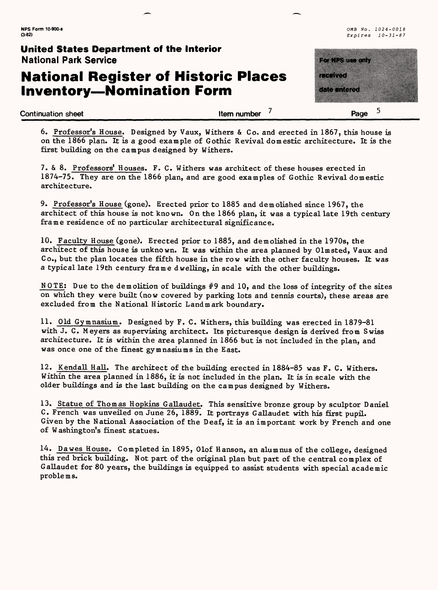# **National Register of Historic Places Inventory—Nomination Form**

**NPS Form 10-900-a** OMB No. 1024-0018 **(3-82)** Expires 10-31-87

<u>ka landan </u> ,,,,,,,,,,,,,,,, a di secolo di controllo **Continuation sheet Continuation sheet Continuation sheet** *Page* 5

6. Professor's House. Designed by Vaux, Withers & Co. and erected in 1867, this house is on the 1866 plan. It is a good example of Gothic Revival domestic architecture. It is the first building on the campus designed by Withers.

7. & 8. Professors' Houses. F. C. Withers was architect of these houses erected in 1874-75. They are on the 1866 plan, and are good examples of Gothic Revival domestic architecture.

9. Professor's House (gone). Erected prior to 1885 and demolished since 1967, the architect of this house is not known. On the 1866 plan, it was a typical late 19th century frame residence of no particular architectural significance.

10. Faculty House (gone). Erected prior to 1885, and demolished in the 1970s, the architect of this house is unknown. It was within the area planned by Olmsted, Vaux and Co., but the plan locates the fifth house in the row with the other faculty houses. It was a typical late 19th century frame dwelling, in scale with the other buildings.

NOTE: Due to the demolition of buildings  $#9$  and 10, and the loss of integrity of the sites on which they were built (now covered by parking lots and tennis courts), these areas are excluded from the National Historic Landmark boundary.

11. Old Gymnasium. Designed by F. C. Withers, this building was erected in 1879-81 with J. C. Meyers as supervising architect. Its picturesque design is derived from Swiss architecture. It is within the area planned in 1866 but is not included in the plan, and was once one of the finest gymnasiums in the East.

12. Kendall Hall. The architect of the building erected in 1884-85 was F. C. Withers. Within the area planned in 1886, it is not included in the plan. It is in scale with the older buildings and is the last building on the campus designed by Withers.

13. Statue of Thomas Hopkins Gallaudet. This sensitive bronze group by sculptor Daniel C. French was unveiled on June 26, 1889. It portrays Gallaudet with his first pupil. Given by the National Association of the Deaf, it is an important work by French and one of Washington's finest statues.

14. Dawes House. Completed in 1895, Olof Hanson, an alumnus of the college, designed this red brick building. Not part of the original plan but part of the central complex of Gallaudet for 80 years, the buildings is equipped to assist students with special academic problems.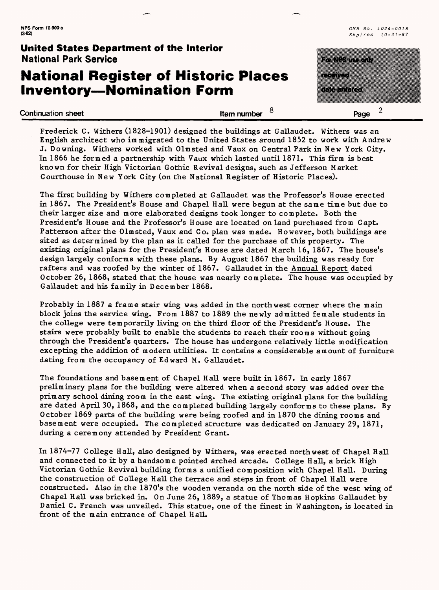# **National Register of Historic Places Inventory—Nomination Form**

**NPS Form 10-900-a**  $0.490 - 0.018$   $0.1024 - 0.018$   $0.1024 - 0.018$   $0.1024 - 0.018$   $0.1024 - 0.018$   $0.1024 - 0.018$   $0.1024 - 0.018$   $0.1024 - 0.018$   $0.1024 - 0.018$   $0.1024 - 0.018$   $0.1024 - 0.018$   $0.1024 - 0.018$   $0.1024 - 0.$ **(3-82)** Expires 10-31-87



Frederick C. Withers (1828-1901) designed the buildings at Gallaudet. Withers was an English architect who immigrated to the United States around 1852 to work with Andrew J. Downing. Withers worked with Olmsted and Vaux on Central Park in New York City. In 1866 he formed a partnership with Vaux which lasted until 1871. This firm is best known for their High Victorian Gothic Revival designs, such as Jefferson Market Courthouse in New York City (on the National Register of Historic Places).

The first building by Withers completed at Gallaudet was the Professor's House erected in 1867. The President's House and Chapel Hall were begun at the same time but due to their larger size and more elaborated designs took longer to complete. Both the President's House and the Professor's House are located on land purchased from Capt. Patterson after the Olmsted, Vaux and Co. plan was made. However, both buildings are sited as determined by the plan as it called for the purchase of this property. The existing original plans for the President's House are dated March 16, 1867. The house's design largely conforms with these plans. By August 1867 the building was ready for rafters and was roofed by the winter of 1867. Gallaudet in the Annual Report dated October 26, 1868, stated that the house was nearly complete. The house was occupied by Gallaudet and his family in December 1868.

Probably in 1887 a frame stair wing was added in the northwest corner where the main block joins the service wing. From 1887 to 1889 the newly admitted female students in the college were temporarily living on the third floor of the President's House. The stairs were probably built to enable the students to reach their rooms without going through the President's quarters. The house has undergone relatively little modification excepting the addition of modern utilities. It contains a considerable amount of furniture dating from the occupancy of Edward M. Gallaudet.

The foundations and basement of Chapel Hall were built in 1867. In early 1867 preliminary plans for the building were altered when a second story was added over the primary school dining room in the east wing. The existing original plans for the building are dated April 30, 1868, and the completed building largely conforms to these plans. By October 1869 parts of the building were being roofed and in 1870 the dining rooms and basement were occupied. The completed structure was dedicated on January 29, 1871, during a ceremony attended by President Grant.

In 1874-77 College Hall, also designed by Withers, was erected northwest of Chapel Hall and connected to it by a handsome pointed arched arcade. College Hall, a brick High Victorian Gothic Revival building forms a unified composition with Chapel Hall. During the construction of College Hall the terrace and steps in front of Chapel Hall were constructed. Also in the 1870's the wooden veranda on the north side of the west wing of Chapel Hall was bricked in. On June 26, 1889, a statue of Thomas Hopkins Gallaudet by Daniel C. French was unveiled. This statue, one of the finest in Washington, is located in front of the main entrance of Chapel HalL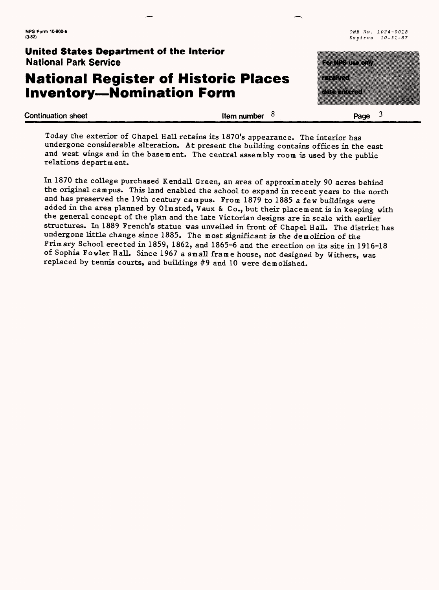## **National Register of Historic Places Inventory—Nomination Form**

a and a series of the control of the control of the control of the control of the control of the control of th<br>The control of the control of the control of the control of the control of the control of the control of the c a di secolo di controllo di controllo di controllo di controllo di controllo di controllo di controllo di cont

**(3.82)** *Expires 10-31-87*

**Continuation sheet Continuation sheet Continuation sheet 1** 

Today the exterior of Chapel Hall retains its 1870's appearance. The interior has undergone considerable alteration. At present the building contains offices in the east and west wings and in the basement. The central assembly room is used by the public relations department.

In 1870 the college purchased Kendall Green, an area of approximately 90 acres behind the original campus. This land enabled the school to expand in recent years to the north and has preserved the 19th century campus. From 1879 to 1885 a few buildings were added in the area planned by Olmsted, Vaux & Co., but their placement is in keeping with the general concept of the plan and the late Victorian designs are in scale with earlier structures. In 1889 French's statue was unveiled in front of Chapel Hall. The district has undergone little change since 1885. The most significant is the demolition of the Primary School erected in 1859, 1862, and 1865-6 and the erection on its site in 1916-18 of Sophia Fowler Hall. Since 1967 a small frame house, not designed by Withers, was replaced by tennis courts, and buildings #9 and 10 were demolished.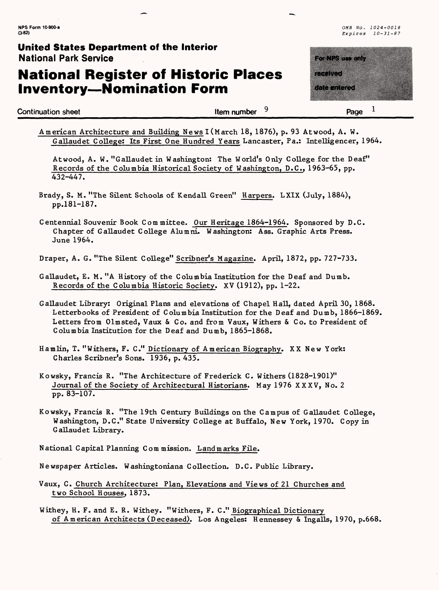# **National Register of Historic Places Inventory—Nomination Form**

**Continuation sheet Continuation sheet** 

<u> Martin Martin Straub</u> a a chun a di Cara 1

Page

|  |  |  |  | American Architecture and Building News I (March 18, 1876), p. 93 Atwood, A. W.     |  |
|--|--|--|--|-------------------------------------------------------------------------------------|--|
|  |  |  |  | Gallaudet College: Its First One Hundred Years Lancaster, Pa.: Intelligencer, 1964. |  |

Atwood, A. W. "Gallaudet in Washington: The World's Only College for the Deaf" Records of the Columbia Historical Society of Washington, D.C., 1963-65, pp. 432-447.

- Brady, S. M. "The Silent Schools of Kendall Green" Harpers. LXIX (July, 1884), pp.181-187.
- Centennial Souvenir Book Committee. Our Heritage 1864-1964. Sponsored by D.C. Chapter of Gallaudet College Alumni. Washington: Ass. Graphic Arts Press. June 1964.

Draper, A. G. "The Silent College" Scribner's Magazine. April, 1872, pp. 727-733.

- Gallaudet, E. M. "A History of the Columbia Institution for the Deaf and Dumb. Records of the Columbia Historic Society. XV (1912), pp. 1-22.
- Gallaudet Library: Original Plans and elevations of Chapel Hall, dated April 30, 1868. Letterbooks of President of Columbia Institution for the Deaf and Dumb, 1866-1869. Letters from Olmsted, Vaux & Co. and from Vaux, Withers & Co. to President of Columbia Institution for the Deaf and Dumb, 1865-1868.
- Hamlin, T. "Withers, F. C." Dictionary of American Biography. XX New York: Charles Scribner's Sons. 1936, p. 435.
- Kowsky, Francis R. "The Architecture of Frederick C. Withers (1828-1901)" Journal of the Society of Architectural Historians. May 1976 XXXV, No. 2 pp. 83-107.
- Kowsky, Francis R. "The 19th Century Buildings on the Campus of Gallaudet College, Washington, D.C." State University College at Buffalo, New York, 1970. Copy in Gallaudet Library.

National Capital Planning Commission. Landmarks File.

Newspaper Articles. Washingtoniana Collection. D.C. Public Library.

Vaux, C. Church Architecture; Plan, Elevations and Views of 21 Churches and two School Houses, 1873.

Withey, H. F. and E. R. Withey. "Withers, F. C." Biographical Dictionary of American Architects (Deceased). Los Angeles: Hennessey & Ingalls, 1970, p.668.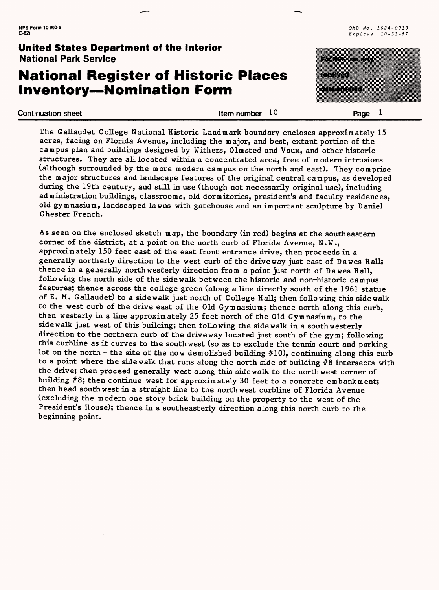# **National Register of Historic Places Inventory—Nomination Form**

**NPS Form 10-900-a** 0MB No. 1024-0018 **(3-82)** Expires 10-31-87

> a ka

**Continuation sheet Continuation sheet Continuation sheet Continuation sheet Page 1** 

The Gallaudet College National Historic Landmark boundary encloses approximately 15 acres, facing on Florida Avenue, including the major, and best, extant portion of the campus plan and buildings designed by Withers, Olmsted and Vaux, and other historic structures. They are all located within a concentrated area, free of modern intrusions (although surrounded by the more modern campus on the north and east). They comprise the major structures and landscape features of the original central campus, as developed during the 19th century, and still in use (though not necessarily original use), including administration buildings, classrooms, old dormitories, president's and faculty residences, old gymnasium, landscaped lawns with gatehouse and an important sculpture by Daniel Chester French.

As seen on the enclosed sketch map, the boundary (in red) begins at the southeastern corner of the district, at a point on the north curb of Florida Avenue, N.W., approximately 150 feet east of the east front entrance drive, then proceeds in a generally northerly direction to the west curb of the driveway just east of Dawes Hall; thence in a generally northwesterly direction from a point just north of Dawes Hall, following the north side of the sidewalk between the historic and non-historic campus features; thence across the college green (along a line directly south of the 1961 statue of E. M. Gallaudet) to a sidewalk just north of College Hall; then following this sidewalk to the west curb of the drive east of the Old Gymnasium; thence north along this curb, then westerly in a line approximately 25 feet north of the Old Gymnasium, to the sidewalk just west of this building; then following the sidewalk in a southwesterly direction to the northern curb of the driveway located just south of the gym; following this curbline as it curves to the southwest (so as to exclude the tennis court and parking lot on the north - the site of the now demolished building  $#10$ ), continuing along this curb to a point where the sidewalk that runs along the north side of building #8 intersects with the drive; then proceed generally west along this sidewalk to the northwest corner of building  $#8$ ; then continue west for approximately 30 feet to a concrete embankment; then head southwest in a straight line to the northwest curbline of Florida Avenue (excluding the modern one story brick building on the property to the west of the President's House); thence in a southeasterly direction along this north curb to the beginning point.